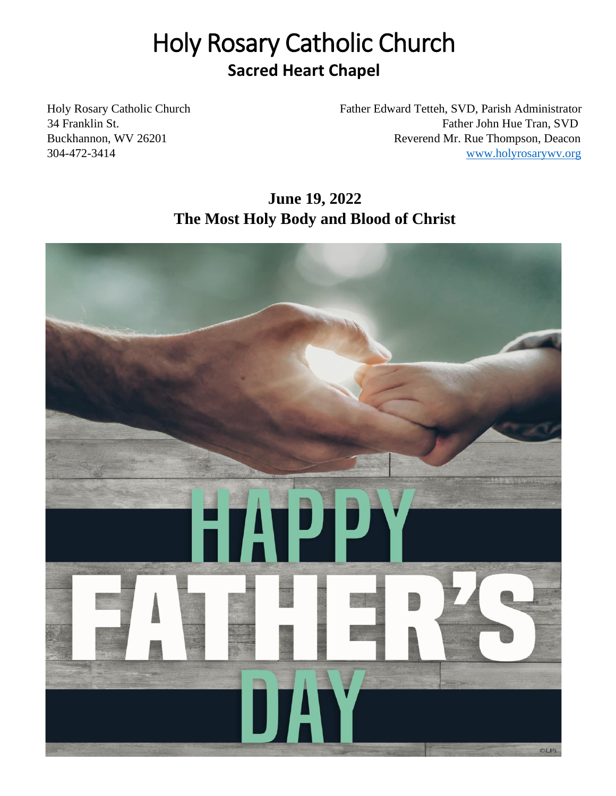# Holy Rosary Catholic Church **Sacred Heart Chapel**

Holy Rosary Catholic Church Father Edward Tetteh, SVD, Parish Administrator 34 Franklin St. Father John Hue Tran, SVD Buckhannon, WV 26201 Reverend Mr. Rue Thompson, Deacon 304-472-3414 [www.holyrosarywv.org](http://www.holyrosarywv.org/)

# **June 19, 2022 The Most Holy Body and Blood of Christ**

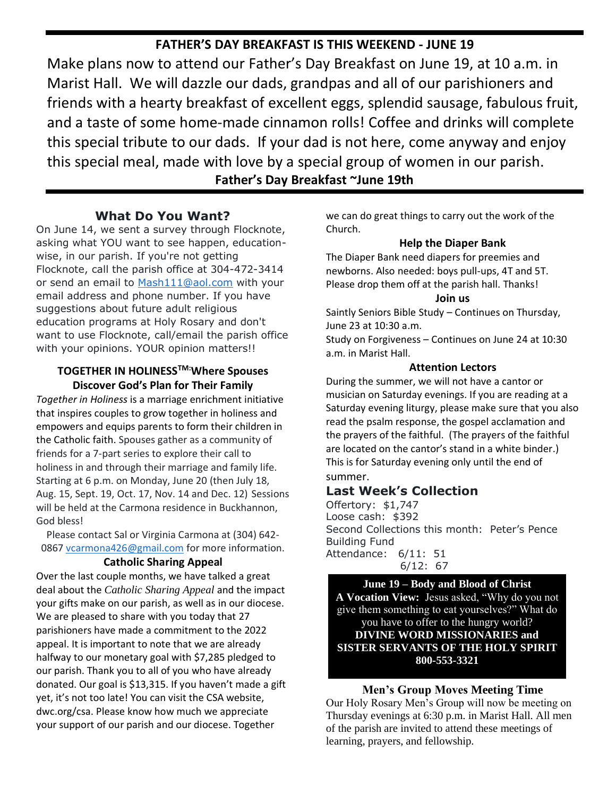# **FATHER'S DAY BREAKFAST IS THIS WEEKEND - JUNE 19**

Make plans now to attend our Father's Day Breakfast on June 19, at 10 a.m. in Marist Hall. We will dazzle our dads, grandpas and all of our parishioners and friends with a hearty breakfast of excellent eggs, splendid sausage, fabulous fruit, and a taste of some home-made cinnamon rolls! Coffee and drinks will complete this special tribute to our dads. If your dad is not here, come anyway and enjoy this special meal, made with love by a special group of women in our parish. **Father's Day Breakfast ~June 19th**

#### **What Do You Want?**

On June 14, we sent a survey through Flocknote, asking what YOU want to see happen, educationwise, in our parish. If you're not getting Flocknote, call the parish office at 304-472-3414 or send an email to [Mash111@aol.com](mailto:Mash111@aol.com) with your email address and phone number. If you have suggestions about future adult religious education programs at Holy Rosary and don't want to use Flocknote, call/email the parish office with your opinions. YOUR opinion matters!!

#### **TOGETHER IN HOLINESSTM:Where Spouses Discover God's Plan for Their Family**

*Together in Holiness* is a marriage enrichment initiative that inspires couples to grow together in holiness and empowers and equips parents to form their children in the Catholic faith. Spouses gather as a community of friends for a 7-part series to explore their call to holiness in and through their marriage and family life. Starting at 6 p.m. on Monday, June 20 (then July 18, Aug. 15, Sept. 19, Oct. 17, Nov. 14 and Dec. 12) Sessions will be held at the Carmona residence in Buckhannon, God bless!

Please contact Sal or Virginia Carmona at (304) 642- 0867 [vcarmona426@gmail.com](mailto:vcarmona426@gmail.com) for more information.

#### **Catholic Sharing Appeal**

Over the last couple months, we have talked a great deal about the *Catholic Sharing Appeal* and the impact your gifts make on our parish, as well as in our diocese. We are pleased to share with you today that 27 parishioners have made a commitment to the 2022 appeal. It is important to note that we are already halfway to our monetary goal with \$7,285 pledged to our parish. Thank you to all of you who have already donated. Our goal is \$13,315. If you haven't made a gift yet, it's not too late! You can visit the CSA website, dwc.org/csa. Please know how much we appreciate your support of our parish and our diocese. Together

we can do great things to carry out the work of the Church.

#### **Help the Diaper Bank**

The Diaper Bank need diapers for preemies and newborns. Also needed: boys pull-ups, 4T and 5T. Please drop them off at the parish hall. Thanks!

#### **Join us**

Saintly Seniors Bible Study – Continues on Thursday, June 23 at 10:30 a.m.

Study on Forgiveness – Continues on June 24 at 10:30 a.m. in Marist Hall.

#### **Attention Lectors**

During the summer, we will not have a cantor or musician on Saturday evenings. If you are reading at a Saturday evening liturgy, please make sure that you also read the psalm response, the gospel acclamation and the prayers of the faithful. (The prayers of the faithful are located on the cantor's stand in a white binder.) This is for Saturday evening only until the end of summer.

### **Last Week's Collection**

Offertory: \$1,747 Loose cash: \$392 Second Collections this month: Peter's Pence Building Fund Attendance: 6/11: 51 6/12: 67

**June 19 – Body and Blood of Christ A Vocation View:** Jesus asked, "Why do you not give them something to eat yourselves?" What do you have to offer to the hungry world? **DIVINE WORD MISSIONARIES and SISTER SERVANTS OF THE HOLY SPIRIT 800-553-3321**

#### **Men's Group Moves Meeting Time**

Our Holy Rosary Men's Group will now be meeting on Thursday evenings at 6:30 p.m. in Marist Hall. All men of the parish are invited to attend these meetings of learning, prayers, and fellowship.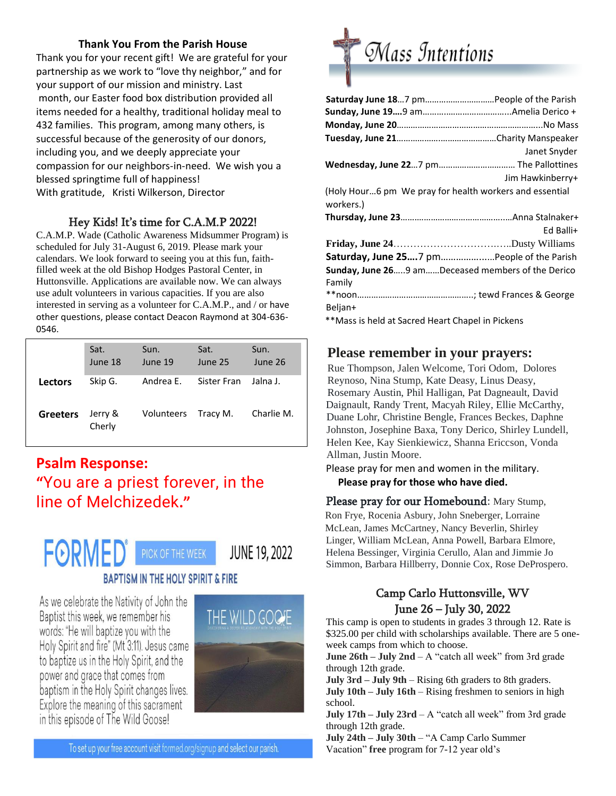#### **Thank You From the Parish House**

Thank you for your recent gift! We are grateful for your partnership as we work to "love thy neighbor," and for your support of our mission and ministry. Last month, our Easter food box distribution provided all items needed for a healthy, traditional holiday meal to 432 families. This program, among many others, is successful because of the generosity of our donors, including you, and we deeply appreciate your compassion for our neighbors-in-need. We wish you a blessed springtime full of happiness! With gratitude, Kristi Wilkerson, Director

### Hey Kids! It's time for C.A.M.P 2022!

C.A.M.P. Wade (Catholic Awareness Midsummer Program) is scheduled for July 31-August 6, 2019. Please mark your calendars. We look forward to seeing you at this fun, faithfilled week at the old Bishop Hodges Pastoral Center, in Huttonsville. Applications are available now. We can always use adult volunteers in various capacities. If you are also interested in serving as a volunteer for C.A.M.P., and / or have other questions, please contact Deacon Raymond at 304-636- 0546.

|                 | Sat.<br>June 18   | Sun.<br>June 19 | Sat.<br>June 25 | Sun.<br>June 26 |
|-----------------|-------------------|-----------------|-----------------|-----------------|
| Lectors         | Skip G.           | Andrea E.       | Sister Fran     | Jalna J.        |
| <b>Greeters</b> | Jerry &<br>Cherly | Volunteers      | Tracy M.        | Charlie M.      |

# **Psalm Response: "**You are a priest forever, in the line of Melchizedek**."**



As we celebrate the Nativity of John the Baptist this week, we remember his words: "He will baptize you with the Holy Spirit and fire" (Mt 3:11). Jesus came to baptize us in the Holy Spirit, and the power and grace that comes from baptism in the Holy Spirit changes lives. Explore the meaning of this sacrament in this episode of The Wild Goose!



To set up your free account visit formed.org/signup and select our parish.



|                                                                      | Janet Snyder     |
|----------------------------------------------------------------------|------------------|
|                                                                      |                  |
|                                                                      | Jim Hawkinberry+ |
| (Holy Hour6 pm We pray for health workers and essential<br>workers.) |                  |
|                                                                      |                  |
|                                                                      | Ed Balli+        |
|                                                                      |                  |
| Saturday, June 257 pmPeople of the Parish                            |                  |
| Sunday, June 269 amDeceased members of the Derico                    |                  |
| Family                                                               |                  |
|                                                                      |                  |
| Beljan+                                                              |                  |
| **Mass is held at Sacred Heart Chapel in Pickens                     |                  |

### **Please remember in your prayers:**

Rue Thompson, Jalen Welcome, Tori Odom, Dolores Reynoso, Nina Stump, Kate Deasy, Linus Deasy, Rosemary Austin, Phil Halligan, Pat Dagneault, David Daignault, Randy Trent, Macyah Riley, Ellie McCarthy, Duane Lohr, Christine Bengle, Frances Beckes, Daphne Johnston, Josephine Baxa, Tony Derico, Shirley Lundell, Helen Kee, Kay Sienkiewicz, Shanna Ericcson, Vonda Allman, Justin Moore.

Please pray for men and women in the military. **Please pray for those who have died.** 

Please pray for our Homebound: Mary Stump, Ron Frye, Rocenia Asbury, John Sneberger, Lorraine McLean, James McCartney, Nancy Beverlin, Shirley Linger, William McLean, Anna Powell, Barbara Elmore, Helena Bessinger, Virginia Cerullo, Alan and Jimmie Jo Simmon, Barbara Hillberry, Donnie Cox, Rose DeProspero.

# Camp Carlo Huttonsville, WV June 26 – July 30, 2022

This camp is open to students in grades 3 through 12. Rate is \$325.00 per child with scholarships available. There are 5 oneweek camps from which to choose.

**June 26th – July 2nd** – A "catch all week" from 3rd grade through 12th grade.

**July 3rd – July 9th** – Rising 6th graders to 8th graders.

**July 10th – July 16th** – Rising freshmen to seniors in high school.

**July 17th – July 23rd** – A "catch all week" from 3rd grade through 12th grade.

**July 24th – July 30th** – "A Camp Carlo Summer Vacation" **free** program for 7-12 year old's